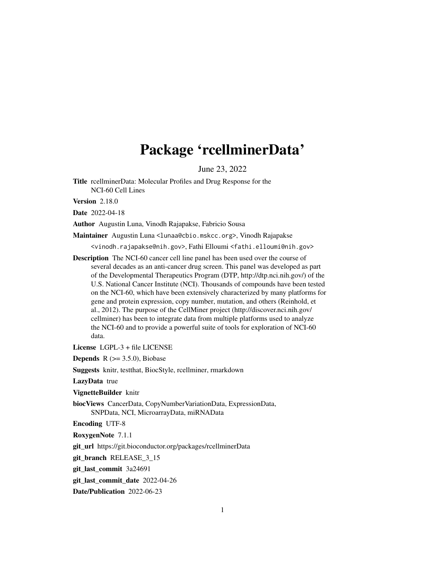## Package 'rcellminerData'

June 23, 2022

Title rcellminerData: Molecular Profiles and Drug Response for the NCI-60 Cell Lines

Version 2.18.0

Date 2022-04-18

Author Augustin Luna, Vinodh Rajapakse, Fabricio Sousa

Maintainer Augustin Luna <lunaa@cbio.mskcc.org>, Vinodh Rajapakse

<vinodh.rajapakse@nih.gov>, Fathi Elloumi <fathi.elloumi@nih.gov>

Description The NCI-60 cancer cell line panel has been used over the course of several decades as an anti-cancer drug screen. This panel was developed as part of the Developmental Therapeutics Program (DTP, http://dtp.nci.nih.gov/) of the U.S. National Cancer Institute (NCI). Thousands of compounds have been tested on the NCI-60, which have been extensively characterized by many platforms for gene and protein expression, copy number, mutation, and others (Reinhold, et al., 2012). The purpose of the CellMiner project (http://discover.nci.nih.gov/ cellminer) has been to integrate data from multiple platforms used to analyze the NCI-60 and to provide a powerful suite of tools for exploration of NCI-60 data.

License LGPL-3 + file LICENSE

**Depends** R  $(>= 3.5.0)$ , Biobase

Suggests knitr, testthat, BiocStyle, rcellminer, rmarkdown

LazyData true

VignetteBuilder knitr

biocViews CancerData, CopyNumberVariationData, ExpressionData, SNPData, NCI, MicroarrayData, miRNAData

Encoding UTF-8

RoxygenNote 7.1.1

git\_url https://git.bioconductor.org/packages/rcellminerData

git\_branch RELEASE\_3\_15

git\_last\_commit 3a24691

git last commit date 2022-04-26

Date/Publication 2022-06-23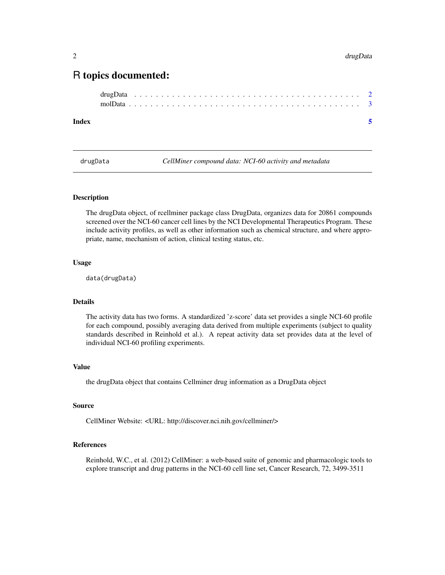### <span id="page-1-0"></span>R topics documented:

#### **Index** [5](#page-4-0). The second state of the second state of the second state of the second state of the second state of the second state of the second state of the second state of the second state of the second state of the second

drugData *CellMiner compound data: NCI-60 activity and metadata*

#### Description

The drugData object, of rcellminer package class DrugData, organizes data for 20861 compounds screened over the NCI-60 cancer cell lines by the NCI Developmental Therapeutics Program. These include activity profiles, as well as other information such as chemical structure, and where appropriate, name, mechanism of action, clinical testing status, etc.

#### Usage

data(drugData)

#### Details

The activity data has two forms. A standardized 'z-score' data set provides a single NCI-60 profile for each compound, possibly averaging data derived from multiple experiments (subject to quality standards described in Reinhold et al.). A repeat activity data set provides data at the level of individual NCI-60 profiling experiments.

#### Value

the drugData object that contains Cellminer drug information as a DrugData object

#### Source

CellMiner Website: <URL: http://discover.nci.nih.gov/cellminer/>

#### References

Reinhold, W.C., et al. (2012) CellMiner: a web-based suite of genomic and pharmacologic tools to explore transcript and drug patterns in the NCI-60 cell line set, Cancer Research, 72, 3499-3511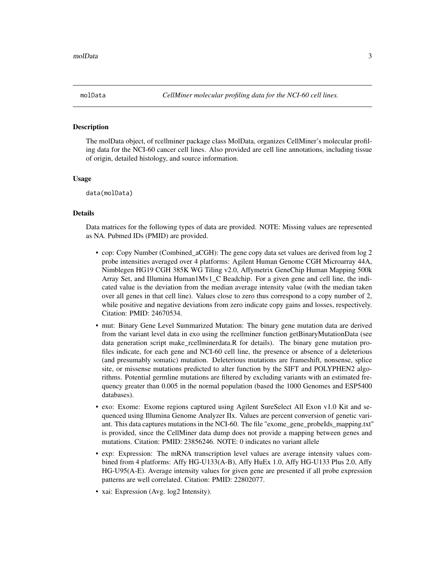<span id="page-2-0"></span>

#### Description

The molData object, of rcellminer package class MolData, organizes CellMiner's molecular profiling data for the NCI-60 cancer cell lines. Also provided are cell line annotations, including tissue of origin, detailed histology, and source information.

#### Usage

data(molData)

#### Details

Data matrices for the following types of data are provided. NOTE: Missing values are represented as NA. Pubmed IDs (PMID) are provided.

- cop: Copy Number (Combined aCGH): The gene copy data set values are derived from log 2 probe intensities averaged over 4 platforms: Agilent Human Genome CGH Microarray 44A, Nimblegen HG19 CGH 385K WG Tiling v2.0, Affymetrix GeneChip Human Mapping 500k Array Set, and Illumina Human1Mv1\_C Beadchip. For a given gene and cell line, the indicated value is the deviation from the median average intensity value (with the median taken over all genes in that cell line). Values close to zero thus correspond to a copy number of 2, while positive and negative deviations from zero indicate copy gains and losses, respectively. Citation: PMID: 24670534.
- mut: Binary Gene Level Summarized Mutation: The binary gene mutation data are derived from the variant level data in exo using the rcellminer function getBinaryMutationData (see data generation script make\_rcellminerdata.R for details). The binary gene mutation profiles indicate, for each gene and NCI-60 cell line, the presence or absence of a deleterious (and presumably somatic) mutation. Deleterious mutations are frameshift, nonsense, splice site, or missense mutations predicted to alter function by the SIFT and POLYPHEN2 algorithms. Potential germline mutations are filtered by excluding variants with an estimated frequency greater than 0.005 in the normal population (based the 1000 Genomes and ESP5400 databases).
- exo: Exome: Exome regions captured using Agilent SureSelect All Exon v1.0 Kit and sequenced using Illumina Genome Analyzer IIx. Values are percent conversion of genetic variant. This data captures mutations in the NCI-60. The file "exome\_gene\_probeIds\_mapping.txt" is provided, since the CellMiner data dump does not provide a mapping between genes and mutations. Citation: PMID: 23856246. NOTE: 0 indicates no variant allele
- exp: Expression: The mRNA transcription level values are average intensity values combined from 4 platforms: Affy HG-U133(A-B), Affy HuEx 1.0, Affy HG-U133 Plus 2.0, Affy HG-U95(A-E). Average intensity values for given gene are presented if all probe expression patterns are well correlated. Citation: PMID: 22802077.
- xai: Expression (Avg. log2 Intensity).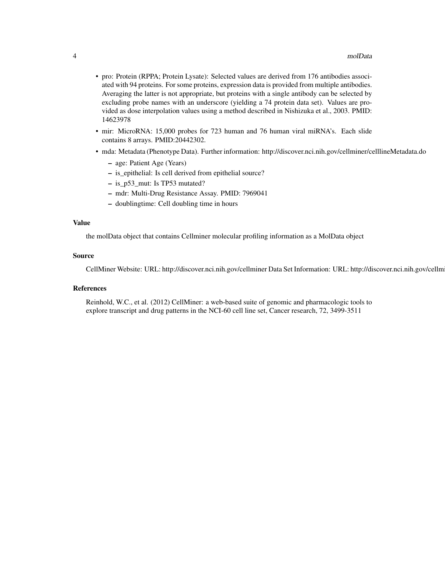- pro: Protein (RPPA; Protein Lysate): Selected values are derived from 176 antibodies associated with 94 proteins. For some proteins, expression data is provided from multiple antibodies. Averaging the latter is not appropriate, but proteins with a single antibody can be selected by excluding probe names with an underscore (yielding a 74 protein data set). Values are provided as dose interpolation values using a method described in Nishizuka et al., 2003. PMID: 14623978
- mir: MicroRNA: 15,000 probes for 723 human and 76 human viral miRNA's. Each slide contains 8 arrays. PMID:20442302.
- mda: Metadata (Phenotype Data). Further information: http://discover.nci.nih.gov/cellminer/celllineMetadata.do
	- age: Patient Age (Years)
	- is\_epithelial: Is cell derived from epithelial source?
	- is\_p53\_mut: Is TP53 mutated?
	- mdr: Multi-Drug Resistance Assay. PMID: 7969041
	- doublingtime: Cell doubling time in hours

#### Value

the molData object that contains Cellminer molecular profiling information as a MolData object

#### Source

CellMiner Website: URL: http://discover.nci.nih.gov/cellminer Data Set Information: URL: http://discover.nci.nih.gov/cellm

#### References

Reinhold, W.C., et al. (2012) CellMiner: a web-based suite of genomic and pharmacologic tools to explore transcript and drug patterns in the NCI-60 cell line set, Cancer research, 72, 3499-3511